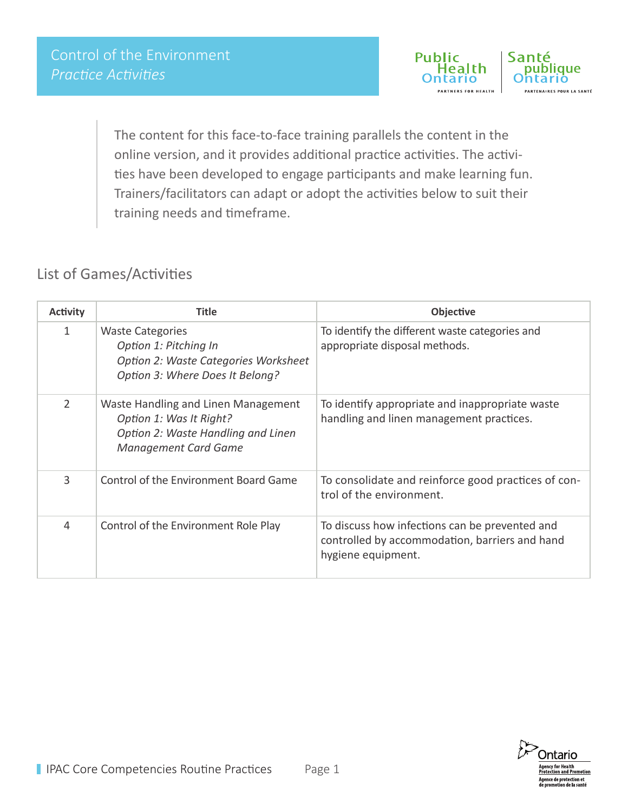

The content for this face-to-face training parallels the content in the online version, and it provides additional practice activities. The activities have been developed to engage participants and make learning fun. Trainers/facilitators can adapt or adopt the activities below to suit their training needs and timeframe.

## List of Games/Activities

| <b>Activity</b> | <b>Title</b>                                                                                                                        | Objective                                                                                                              |
|-----------------|-------------------------------------------------------------------------------------------------------------------------------------|------------------------------------------------------------------------------------------------------------------------|
| 1               | <b>Waste Categories</b><br>Option 1: Pitching In<br>Option 2: Waste Categories Worksheet<br>Option 3: Where Does It Belong?         | To identify the different waste categories and<br>appropriate disposal methods.                                        |
| $\overline{2}$  | Waste Handling and Linen Management<br>Option 1: Was It Right?<br>Option 2: Waste Handling and Linen<br><b>Management Card Game</b> | To identify appropriate and inappropriate waste<br>handling and linen management practices.                            |
| 3               | Control of the Environment Board Game                                                                                               | To consolidate and reinforce good practices of con-<br>trol of the environment.                                        |
| 4               | Control of the Environment Role Play                                                                                                | To discuss how infections can be prevented and<br>controlled by accommodation, barriers and hand<br>hygiene equipment. |

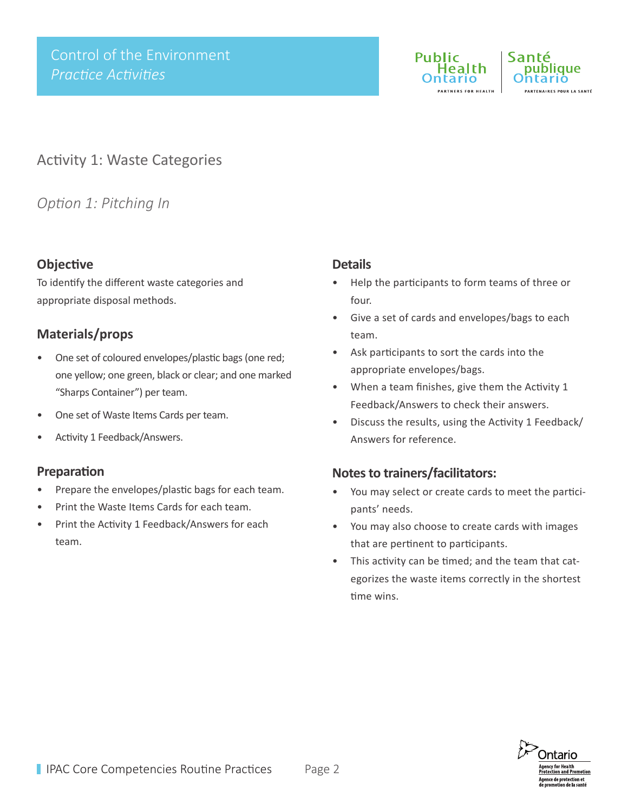



## Activity 1: Waste Categories

## *Option 1: Pitching In*

## **Objective**

To identify the different waste categories and appropriate disposal methods.

## **Materials/props**

- One set of coloured envelopes/plastic bags (one red; one yellow; one green, black or clear; and one marked "Sharps Container") per team.
- One set of Waste Items Cards per team.
- Activity 1 Feedback/Answers.

#### **Preparation**

- Prepare the envelopes/plastic bags for each team.
- Print the Waste Items Cards for each team.
- Print the Activity 1 Feedback/Answers for each team.

#### **Details**

- Help the participants to form teams of three or four.
- Give a set of cards and envelopes/bags to each team.
- Ask participants to sort the cards into the appropriate envelopes/bags.
- When a team finishes, give them the Activity 1 Feedback/Answers to check their answers.
- Discuss the results, using the Activity 1 Feedback/ Answers for reference.

- You may select or create cards to meet the participants' needs.
- You may also choose to create cards with images that are pertinent to participants.
- This activity can be timed; and the team that categorizes the waste items correctly in the shortest time wins.

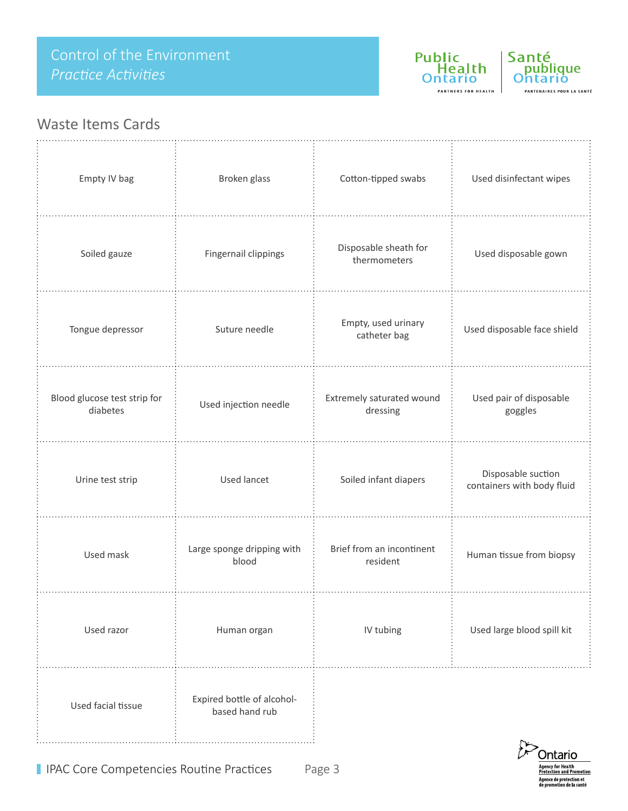Public<br>Health **Ontario** PARTNERS FOR HEALTH



## Waste Items Cards

| Empty IV bag                             | Broken glass                                 | Cotton-tipped swabs                   | Used disinfectant wipes                          |
|------------------------------------------|----------------------------------------------|---------------------------------------|--------------------------------------------------|
| Soiled gauze                             | Fingernail clippings                         | Disposable sheath for<br>thermometers | Used disposable gown                             |
| Tongue depressor                         | Suture needle                                | Empty, used urinary<br>catheter bag   | Used disposable face shield                      |
| Blood glucose test strip for<br>diabetes | Used injection needle                        | Extremely saturated wound<br>dressing | Used pair of disposable<br>goggles               |
| Urine test strip                         | <b>Used lancet</b>                           | Soiled infant diapers                 | Disposable suction<br>containers with body fluid |
| Used mask                                | Large sponge dripping with<br>blood          | Brief from an incontinent<br>resident | Human tissue from biopsy                         |
| Used razor                               | Human organ                                  | IV tubing                             | Used large blood spill kit                       |
| Used facial tissue                       | Expired bottle of alcohol-<br>based hand rub |                                       |                                                  |

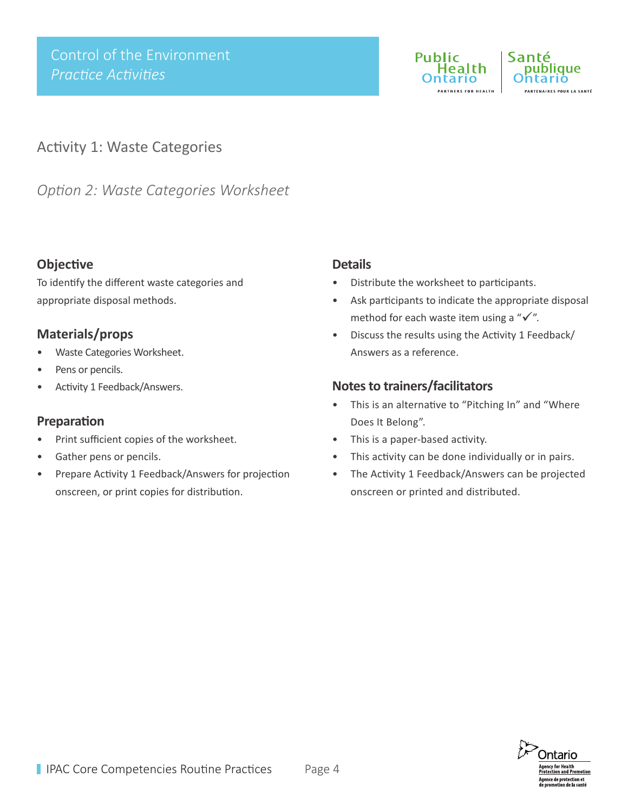



## Activity 1: Waste Categories

*Option 2: Waste Categories Worksheet* 

## **Objective**

To identify the different waste categories and appropriate disposal methods.

## **Materials/props**

- Waste Categories Worksheet.
- Pens or pencils.
- Activity 1 Feedback/Answers.

## **Preparation**

- Print sufficient copies of the worksheet.
- Gather pens or pencils.
- Prepare Activity 1 Feedback/Answers for projection onscreen, or print copies for distribution.

#### **Details**

- Distribute the worksheet to participants.
- Ask participants to indicate the appropriate disposal method for each waste item using a " $\checkmark$ ".
- Discuss the results using the Activity 1 Feedback/ Answers as a reference.

- This is an alternative to "Pitching In" and "Where Does It Belong".
- This is a paper-based activity.
- This activity can be done individually or in pairs.
- The Activity 1 Feedback/Answers can be projected onscreen or printed and distributed.

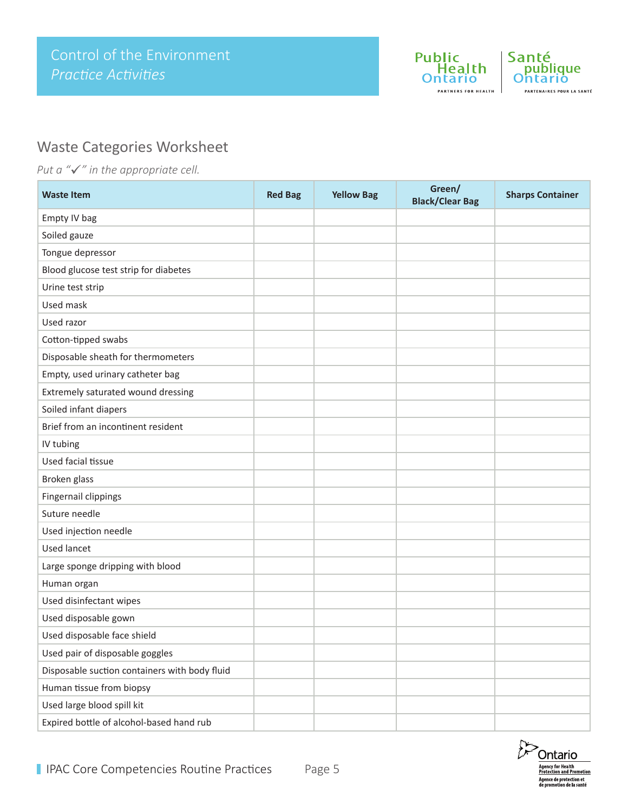



## Waste Categories Worksheet

*Put a "√" in the appropriate cell.* 

| <b>Waste Item</b>                             | <b>Red Bag</b> | <b>Yellow Bag</b> | Green/<br><b>Black/Clear Bag</b> | <b>Sharps Container</b> |
|-----------------------------------------------|----------------|-------------------|----------------------------------|-------------------------|
| Empty IV bag                                  |                |                   |                                  |                         |
| Soiled gauze                                  |                |                   |                                  |                         |
| Tongue depressor                              |                |                   |                                  |                         |
| Blood glucose test strip for diabetes         |                |                   |                                  |                         |
| Urine test strip                              |                |                   |                                  |                         |
| Used mask                                     |                |                   |                                  |                         |
| Used razor                                    |                |                   |                                  |                         |
| Cotton-tipped swabs                           |                |                   |                                  |                         |
| Disposable sheath for thermometers            |                |                   |                                  |                         |
| Empty, used urinary catheter bag              |                |                   |                                  |                         |
| Extremely saturated wound dressing            |                |                   |                                  |                         |
| Soiled infant diapers                         |                |                   |                                  |                         |
| Brief from an incontinent resident            |                |                   |                                  |                         |
| IV tubing                                     |                |                   |                                  |                         |
| Used facial tissue                            |                |                   |                                  |                         |
| Broken glass                                  |                |                   |                                  |                         |
| Fingernail clippings                          |                |                   |                                  |                         |
| Suture needle                                 |                |                   |                                  |                         |
| Used injection needle                         |                |                   |                                  |                         |
| <b>Used lancet</b>                            |                |                   |                                  |                         |
| Large sponge dripping with blood              |                |                   |                                  |                         |
| Human organ                                   |                |                   |                                  |                         |
| Used disinfectant wipes                       |                |                   |                                  |                         |
| Used disposable gown                          |                |                   |                                  |                         |
| Used disposable face shield                   |                |                   |                                  |                         |
| Used pair of disposable goggles               |                |                   |                                  |                         |
| Disposable suction containers with body fluid |                |                   |                                  |                         |
| Human tissue from biopsy                      |                |                   |                                  |                         |
| Used large blood spill kit                    |                |                   |                                  |                         |
| Expired bottle of alcohol-based hand rub      |                |                   |                                  |                         |

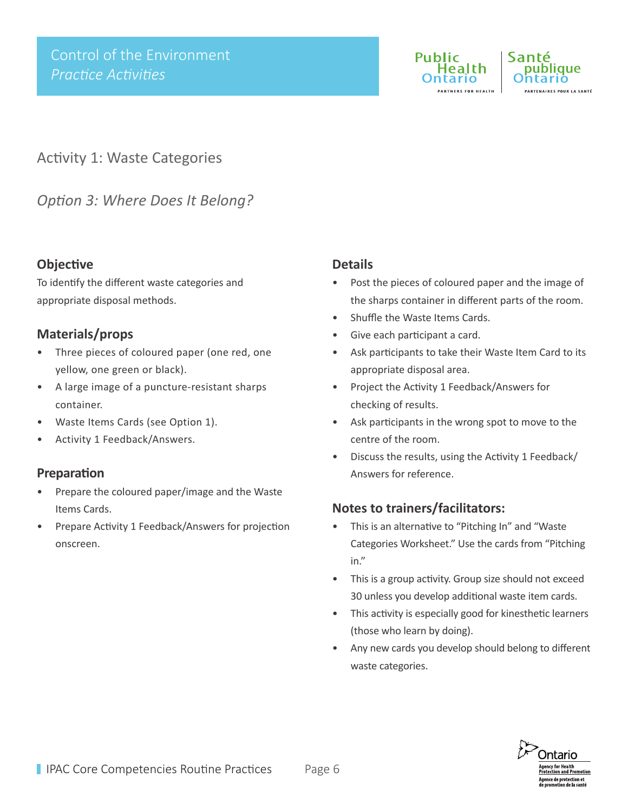



Activity 1: Waste Categories

*Option 3: Where Does It Belong?*

## **Objective**

To identify the different waste categories and appropriate disposal methods.

## **Materials/props**

- Three pieces of coloured paper (one red, one yellow, one green or black).
- A large image of a puncture-resistant sharps container.
- Waste Items Cards (see Option 1).
- Activity 1 Feedback/Answers.

## **Preparation**

- Prepare the coloured paper/image and the Waste Items Cards.
- Prepare Activity 1 Feedback/Answers for projection onscreen.

## **Details**

- Post the pieces of coloured paper and the image of the sharps container in different parts of the room.
- Shuffle the Waste Items Cards.
- Give each participant a card.
- Ask participants to take their Waste Item Card to its appropriate disposal area.
- Project the Activity 1 Feedback/Answers for checking of results.
- Ask participants in the wrong spot to move to the centre of the room.
- Discuss the results, using the Activity 1 Feedback/ Answers for reference.

- This is an alternative to "Pitching In" and "Waste Categories Worksheet." Use the cards from "Pitching in."
- This is a group activity. Group size should not exceed 30 unless you develop additional waste item cards.
- This activity is especially good for kinesthetic learners (those who learn by doing).
- Any new cards you develop should belong to different waste categories.

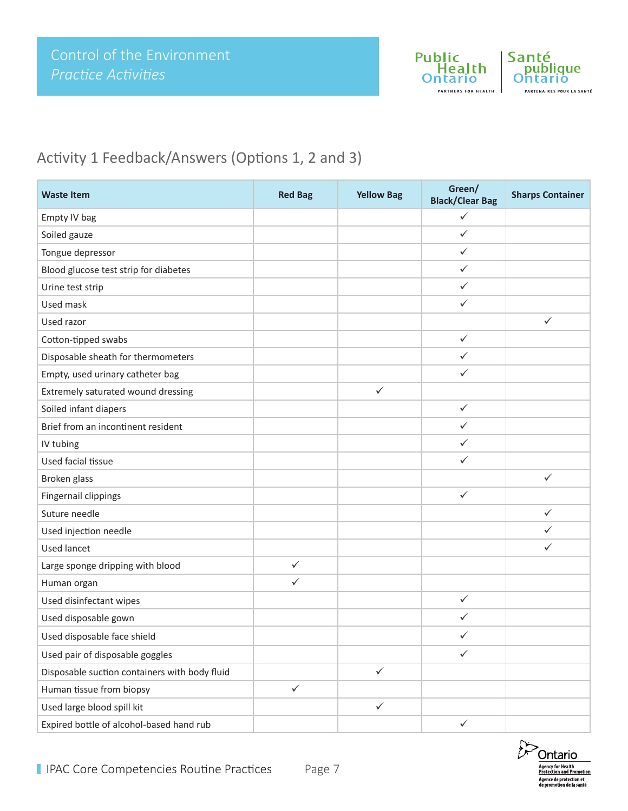

# Activity 1 Feedback/Answers (Options 1, 2 and 3)

| <b>Waste Item</b>                             | <b>Red Bag</b> | <b>Yellow Bag</b> | Green/<br><b>Black/Clear Bag</b> | <b>Sharps Container</b> |
|-----------------------------------------------|----------------|-------------------|----------------------------------|-------------------------|
| Empty IV bag                                  |                |                   | $\checkmark$                     |                         |
| Soiled gauze                                  |                |                   | $\checkmark$                     |                         |
| Tongue depressor                              |                |                   | ✓                                |                         |
| Blood glucose test strip for diabetes         |                |                   | $\checkmark$                     |                         |
| Urine test strip                              |                |                   | $\checkmark$                     |                         |
| Used mask                                     |                |                   | $\checkmark$                     |                         |
| Used razor                                    |                |                   |                                  | ✓                       |
| Cotton-tipped swabs                           |                |                   | $\checkmark$                     |                         |
| Disposable sheath for thermometers            |                |                   | $\checkmark$                     |                         |
| Empty, used urinary catheter bag              |                |                   | ✓                                |                         |
| Extremely saturated wound dressing            |                | $\checkmark$      |                                  |                         |
| Soiled infant diapers                         |                |                   | $\checkmark$                     |                         |
| Brief from an incontinent resident            |                |                   | $\checkmark$                     |                         |
| IV tubing                                     |                |                   | $\checkmark$                     |                         |
| Used facial tissue                            |                |                   | ✓                                |                         |
| Broken glass                                  |                |                   |                                  | $\checkmark$            |
| Fingernail clippings                          |                |                   | $\checkmark$                     |                         |
| Suture needle                                 |                |                   |                                  | $\checkmark$            |
| Used injection needle                         |                |                   |                                  | ✓                       |
| <b>Used lancet</b>                            |                |                   |                                  | ✓                       |
| Large sponge dripping with blood              | $\checkmark$   |                   |                                  |                         |
| Human organ                                   | $\checkmark$   |                   |                                  |                         |
| Used disinfectant wipes                       |                |                   | $\checkmark$                     |                         |
| Used disposable gown                          |                |                   | ✓                                |                         |
| Used disposable face shield                   |                |                   | $\checkmark$                     |                         |
| Used pair of disposable goggles               |                |                   | $\checkmark$                     |                         |
| Disposable suction containers with body fluid |                | $\checkmark$      |                                  |                         |
| Human tissue from biopsy                      | $\checkmark$   |                   |                                  |                         |
| Used large blood spill kit                    |                | $\checkmark$      |                                  |                         |
| Expired bottle of alcohol-based hand rub      |                |                   | $\checkmark$                     |                         |

**Ontario** Agency for Health<br>Protection and Promotion<br>Agence de protection et<br>de promotion de la santé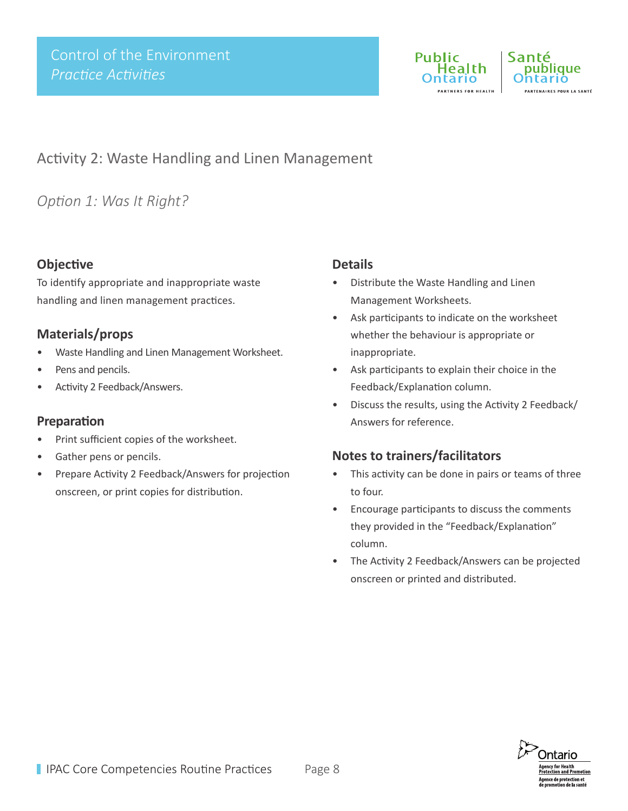

Santé publique .<br>ARTENAIRES POUR LA SANTÉ

## Activity 2: Waste Handling and Linen Management

## *Option 1: Was It Right?*

### **Objective**

To identify appropriate and inappropriate waste handling and linen management practices.

## **Materials/props**

- Waste Handling and Linen Management Worksheet.
- Pens and pencils.
- Activity 2 Feedback/Answers.

#### **Preparation**

- Print sufficient copies of the worksheet.
- Gather pens or pencils.
- Prepare Activity 2 Feedback/Answers for projection onscreen, or print copies for distribution.

#### **Details**

- Distribute the Waste Handling and Linen Management Worksheets.
- Ask participants to indicate on the worksheet whether the behaviour is appropriate or inappropriate.
- Ask participants to explain their choice in the Feedback/Explanation column.
- Discuss the results, using the Activity 2 Feedback/ Answers for reference.

- This activity can be done in pairs or teams of three to four.
- Encourage participants to discuss the comments they provided in the "Feedback/Explanation" column.
- The Activity 2 Feedback/Answers can be projected onscreen or printed and distributed.

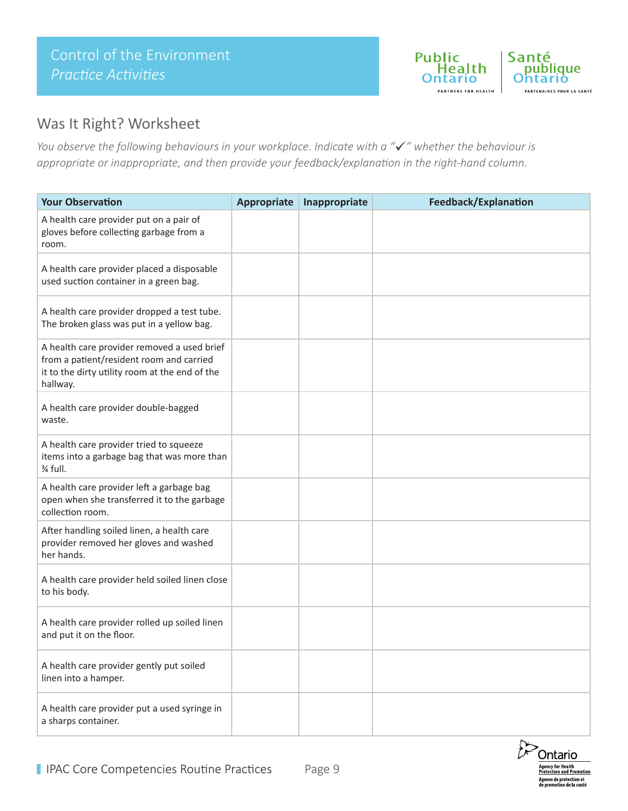

## Was It Right? Worksheet

*You observe the following behaviours in your workplace. Indicate with a "" whether the behaviour is appropriate or inappropriate, and then provide your feedback/explanation in the right-hand column.*

| <b>Your Observation</b>                                                                                                                               | <b>Appropriate</b> | Inappropriate | <b>Feedback/Explanation</b> |
|-------------------------------------------------------------------------------------------------------------------------------------------------------|--------------------|---------------|-----------------------------|
| A health care provider put on a pair of<br>gloves before collecting garbage from a<br>room.                                                           |                    |               |                             |
| A health care provider placed a disposable<br>used suction container in a green bag.                                                                  |                    |               |                             |
| A health care provider dropped a test tube.<br>The broken glass was put in a yellow bag.                                                              |                    |               |                             |
| A health care provider removed a used brief<br>from a patient/resident room and carried<br>it to the dirty utility room at the end of the<br>hallway. |                    |               |                             |
| A health care provider double-bagged<br>waste.                                                                                                        |                    |               |                             |
| A health care provider tried to squeeze<br>items into a garbage bag that was more than<br>% full.                                                     |                    |               |                             |
| A health care provider left a garbage bag<br>open when she transferred it to the garbage<br>collection room.                                          |                    |               |                             |
| After handling soiled linen, a health care<br>provider removed her gloves and washed<br>her hands.                                                    |                    |               |                             |
| A health care provider held soiled linen close<br>to his body.                                                                                        |                    |               |                             |
| A health care provider rolled up soiled linen<br>and put it on the floor.                                                                             |                    |               |                             |
| A health care provider gently put soiled<br>linen into a hamper.                                                                                      |                    |               |                             |
| A health care provider put a used syringe in<br>a sharps container.                                                                                   |                    |               |                             |

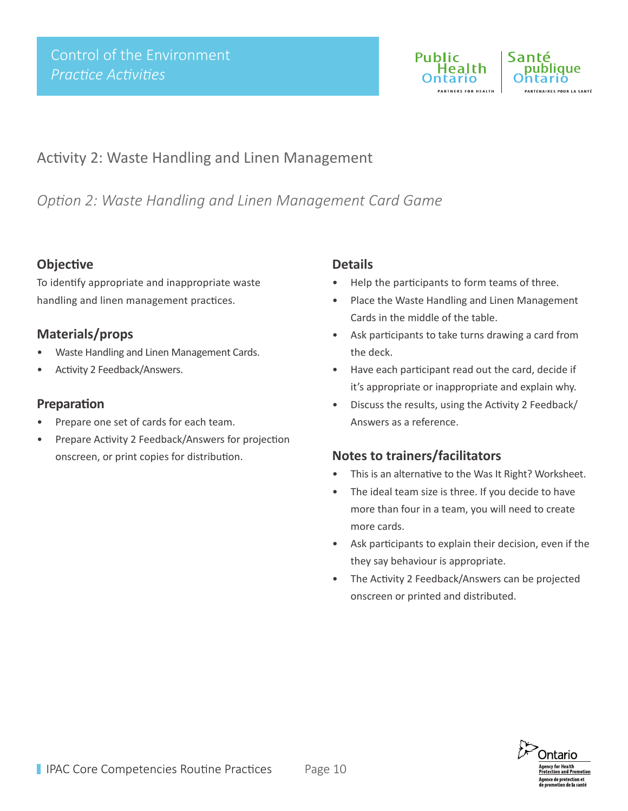

## Activity 2: Waste Handling and Linen Management

*Option 2: Waste Handling and Linen Management Card Game*

### **Objective**

To identify appropriate and inappropriate waste handling and linen management practices.

## **Materials/props**

- Waste Handling and Linen Management Cards.
- Activity 2 Feedback/Answers.

#### **Preparation**

- Prepare one set of cards for each team.
- Prepare Activity 2 Feedback/Answers for projection onscreen, or print copies for distribution.

## **Details**

- Help the participants to form teams of three.
- Place the Waste Handling and Linen Management Cards in the middle of the table.
- Ask participants to take turns drawing a card from the deck.
- Have each participant read out the card, decide if it's appropriate or inappropriate and explain why.
- Discuss the results, using the Activity 2 Feedback/ Answers as a reference.

- This is an alternative to the Was It Right? Worksheet.
- The ideal team size is three. If you decide to have more than four in a team, you will need to create more cards.
- Ask participants to explain their decision, even if the they say behaviour is appropriate.
- The Activity 2 Feedback/Answers can be projected onscreen or printed and distributed.

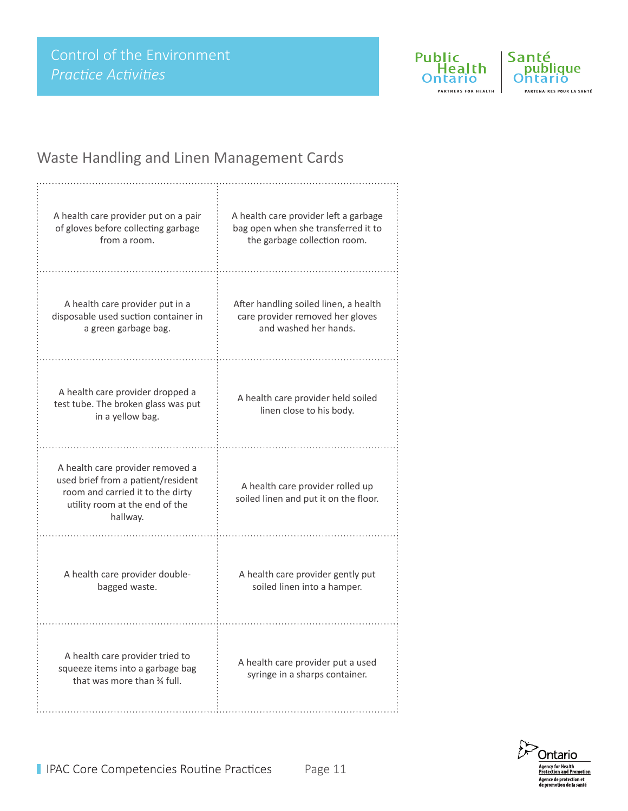

Santé<br>
publique Ohtario PARTENAIRES POUR LA SANTÉ

# Waste Handling and Linen Management Cards

| A health care provider put on a pair                                                                                                                     | A health care provider left a garbage                                     |
|----------------------------------------------------------------------------------------------------------------------------------------------------------|---------------------------------------------------------------------------|
| of gloves before collecting garbage                                                                                                                      | bag open when she transferred it to                                       |
| from a room.                                                                                                                                             | the garbage collection room.                                              |
| A health care provider put in a                                                                                                                          | After handling soiled linen, a health                                     |
| disposable used suction container in                                                                                                                     | care provider removed her gloves                                          |
| a green garbage bag.                                                                                                                                     | and washed her hands.                                                     |
| A health care provider dropped a<br>test tube. The broken glass was put<br>in a yellow bag.                                                              | A health care provider held soiled<br>linen close to his body.            |
| A health care provider removed a<br>used brief from a patient/resident<br>room and carried it to the dirty<br>utility room at the end of the<br>hallway. | A health care provider rolled up<br>soiled linen and put it on the floor. |
| A health care provider double-                                                                                                                           | A health care provider gently put                                         |
| bagged waste.                                                                                                                                            | soiled linen into a hamper.                                               |
| A health care provider tried to<br>squeeze items into a garbage bag<br>that was more than % full.                                                        | A health care provider put a used<br>syringe in a sharps container.       |

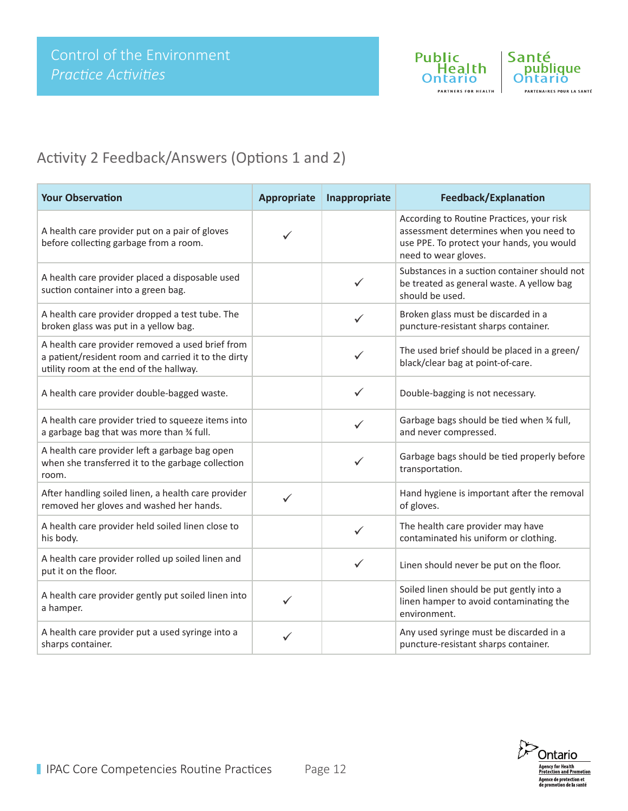

# Activity 2 Feedback/Answers (Options 1 and 2)

| <b>Your Observation</b>                                                                                                                            | <b>Appropriate</b> | Inappropriate | Feedback/Explanation                                                                                                                                     |
|----------------------------------------------------------------------------------------------------------------------------------------------------|--------------------|---------------|----------------------------------------------------------------------------------------------------------------------------------------------------------|
| A health care provider put on a pair of gloves<br>before collecting garbage from a room.                                                           |                    |               | According to Routine Practices, your risk<br>assessment determines when you need to<br>use PPE. To protect your hands, you would<br>need to wear gloves. |
| A health care provider placed a disposable used<br>suction container into a green bag.                                                             |                    | $\checkmark$  | Substances in a suction container should not<br>be treated as general waste. A yellow bag<br>should be used.                                             |
| A health care provider dropped a test tube. The<br>broken glass was put in a yellow bag.                                                           |                    | ✓             | Broken glass must be discarded in a<br>puncture-resistant sharps container.                                                                              |
| A health care provider removed a used brief from<br>a patient/resident room and carried it to the dirty<br>utility room at the end of the hallway. |                    |               | The used brief should be placed in a green/<br>black/clear bag at point-of-care.                                                                         |
| A health care provider double-bagged waste.                                                                                                        |                    | $\checkmark$  | Double-bagging is not necessary.                                                                                                                         |
| A health care provider tried to squeeze items into<br>a garbage bag that was more than 34 full.                                                    |                    | ✓             | Garbage bags should be tied when % full,<br>and never compressed.                                                                                        |
| A health care provider left a garbage bag open<br>when she transferred it to the garbage collection<br>room.                                       |                    | $\checkmark$  | Garbage bags should be tied properly before<br>transportation.                                                                                           |
| After handling soiled linen, a health care provider<br>removed her gloves and washed her hands.                                                    | ✓                  |               | Hand hygiene is important after the removal<br>of gloves.                                                                                                |
| A health care provider held soiled linen close to<br>his body.                                                                                     |                    | $\checkmark$  | The health care provider may have<br>contaminated his uniform or clothing.                                                                               |
| A health care provider rolled up soiled linen and<br>put it on the floor.                                                                          |                    | ✓             | Linen should never be put on the floor.                                                                                                                  |
| A health care provider gently put soiled linen into<br>a hamper.                                                                                   | ✓                  |               | Soiled linen should be put gently into a<br>linen hamper to avoid contaminating the<br>environment.                                                      |
| A health care provider put a used syringe into a<br>sharps container.                                                                              | ✓                  |               | Any used syringe must be discarded in a<br>puncture-resistant sharps container.                                                                          |

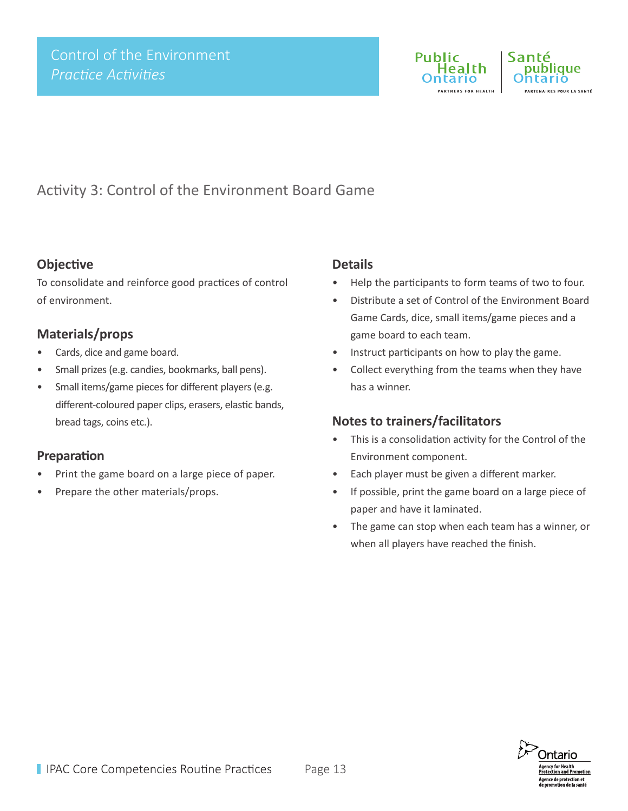

Santé ublique .<br>ARTENAIRES POUR LA SANTÉ

# Activity 3: Control of the Environment Board Game

#### **Objective**

To consolidate and reinforce good practices of control of environment.

## **Materials/props**

- Cards, dice and game board.
- Small prizes (e.g. candies, bookmarks, ball pens).
- Small items/game pieces for different players (e.g. different-coloured paper clips, erasers, elastic bands, bread tags, coins etc.).

#### **Preparation**

- Print the game board on a large piece of paper.
- Prepare the other materials/props.

#### **Details**

- Help the participants to form teams of two to four.
- Distribute a set of Control of the Environment Board Game Cards, dice, small items/game pieces and a game board to each team.
- Instruct participants on how to play the game.
- Collect everything from the teams when they have has a winner.

- This is a consolidation activity for the Control of the Environment component.
- Each player must be given a different marker.
- If possible, print the game board on a large piece of paper and have it laminated.
- The game can stop when each team has a winner, or when all players have reached the finish.

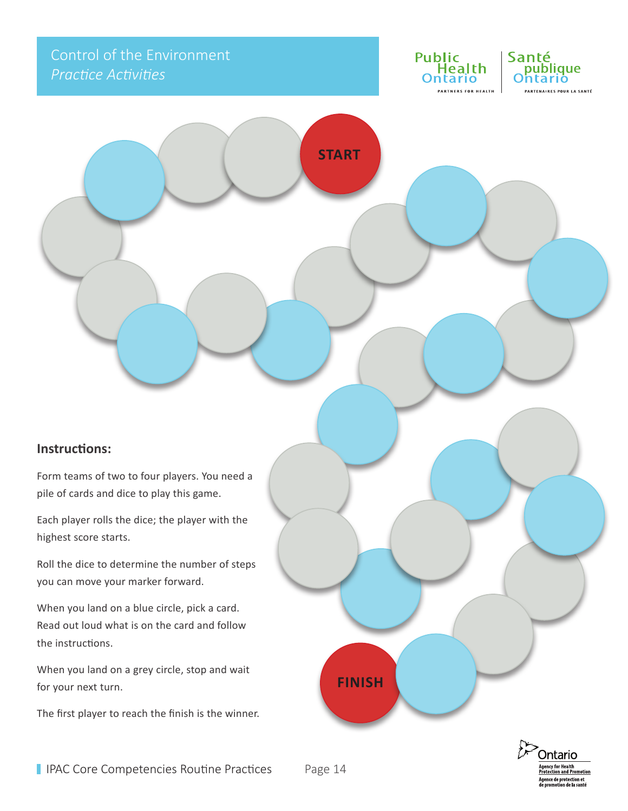# Control of the Environment *Practice Activities*





#### **Instructions:**

Form teams of two to four players. You need a pile of cards and dice to play this game.

Each player rolls the dice; the player with the highest score starts.

Roll the dice to determine the number of steps you can move your marker forward.

When you land on a blue circle, pick a card. Read out loud what is on the card and follow the instructions.

When you land on a grey circle, stop and wait for your next turn.

The first player to reach the finish is the winner.



**FINISH**

**START**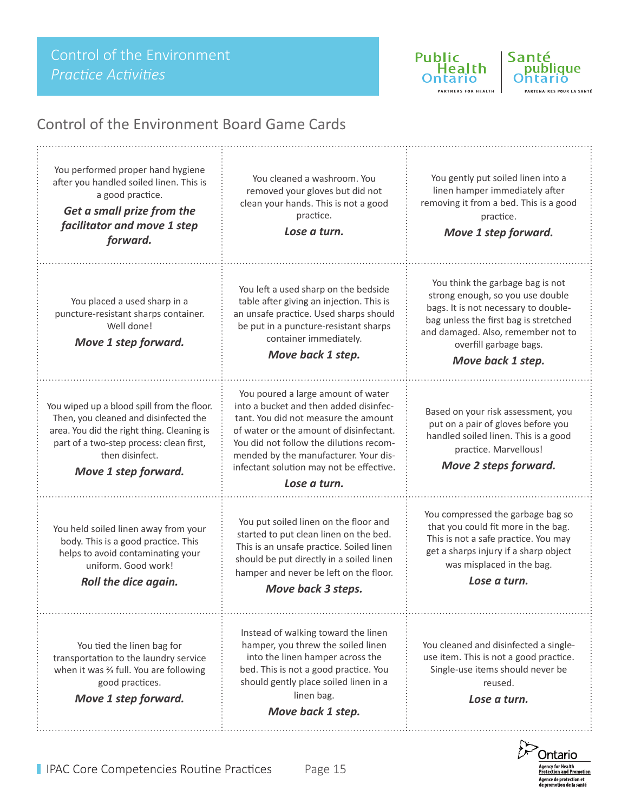

**ADTNEDE COD HEALTH** 



## Control of the Environment Board Game Cards

You performed proper hand hygiene after you handled soiled linen. This is a good practice.

*Get a small prize from the facilitator and move 1 step forward.*

You placed a used sharp in a puncture-resistant sharps container. Well done!

*Move 1 step forward.*

You wiped up a blood spill from the floor. Then, you cleaned and disinfected the area. You did the right thing. Cleaning is part of a two-step process: clean first, then disinfect.

*Move 1 step forward.*

You held soiled linen away from your body. This is a good practice. This helps to avoid contaminating your uniform. Good work!

*Roll the dice again.*

You tied the linen bag for transportation to the laundry service when it was  $\frac{2}{3}$  full. You are following good practices.

*Move 1 step forward.*

You cleaned a washroom. You removed your gloves but did not clean your hands. This is not a good practice.

*Lose a turn.*

You left a used sharp on the bedside table after giving an injection. This is an unsafe practice. Used sharps should be put in a puncture-resistant sharps container immediately.

*Move back 1 step.*

You poured a large amount of water into a bucket and then added disinfectant. You did not measure the amount of water or the amount of disinfectant. You did not follow the dilutions recommended by the manufacturer. Your disinfectant solution may not be effective.

#### *Lose a turn.*

You put soiled linen on the floor and started to put clean linen on the bed. This is an unsafe practice. Soiled linen should be put directly in a soiled linen hamper and never be left on the floor.

*Move back 3 steps.*

Instead of walking toward the linen hamper, you threw the soiled linen into the linen hamper across the bed. This is not a good practice. You should gently place soiled linen in a linen bag.

*Move back 1 step.*

You gently put soiled linen into a linen hamper immediately after removing it from a bed. This is a good practice.

*Move 1 step forward.*

You think the garbage bag is not strong enough, so you use double bags. It is not necessary to doublebag unless the first bag is stretched and damaged. Also, remember not to overfill garbage bags.

*Move back 1 step.*

Based on your risk assessment, you put on a pair of gloves before you handled soiled linen. This is a good practice. Marvellous!

*Move 2 steps forward.*

You compressed the garbage bag so that you could fit more in the bag. This is not a safe practice. You may get a sharps injury if a sharp object was misplaced in the bag.

*Lose a turn.*

You cleaned and disinfected a singleuse item. This is not a good practice. Single-use items should never be reused.

*Lose a turn.*

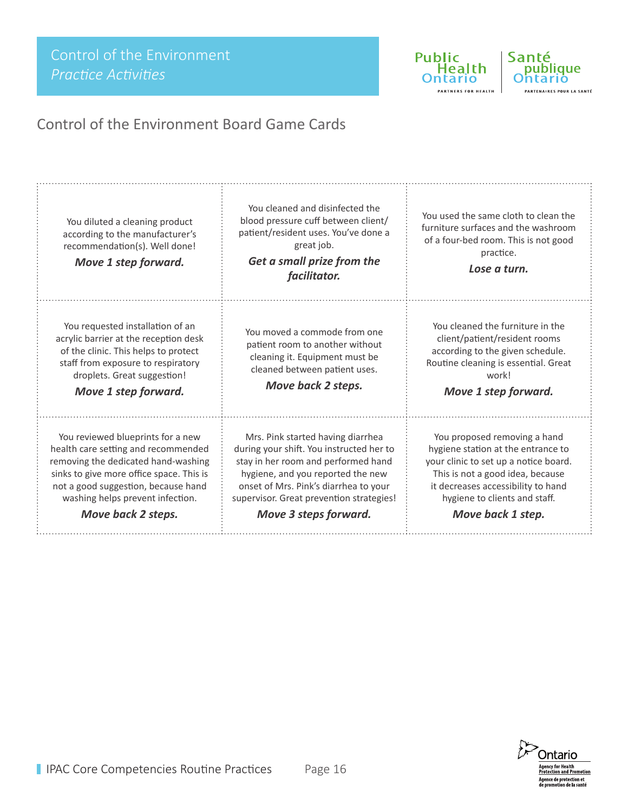Control of the Environment *Practice Activities*

Public<br>
e Health **Ontario** PARTNERS FOR HEALTH



. . . . . 1

# Control of the Environment Board Game Cards

| You diluted a cleaning product<br>according to the manufacturer's<br>recommendation(s). Well done!<br>Move 1 step forward.                                                                                                                                   | You cleaned and disinfected the<br>blood pressure cuff between client/<br>patient/resident uses. You've done a<br>great job.<br>Get a small prize from the<br>facilitator.                                                                                              | You used the same cloth to clean the<br>furniture surfaces and the washroom<br>of a four-bed room. This is not good<br>practice.<br>Lose a turn.                                                                                            |
|--------------------------------------------------------------------------------------------------------------------------------------------------------------------------------------------------------------------------------------------------------------|-------------------------------------------------------------------------------------------------------------------------------------------------------------------------------------------------------------------------------------------------------------------------|---------------------------------------------------------------------------------------------------------------------------------------------------------------------------------------------------------------------------------------------|
| You requested installation of an<br>acrylic barrier at the reception desk<br>of the clinic. This helps to protect<br>staff from exposure to respiratory<br>droplets. Great suggestion!<br>Move 1 step forward.                                               | You moved a commode from one<br>patient room to another without<br>cleaning it. Equipment must be<br>cleaned between patient uses.<br>Move back 2 steps.                                                                                                                | You cleaned the furniture in the<br>client/patient/resident rooms<br>according to the given schedule.<br>Routine cleaning is essential. Great<br>workl<br>Move 1 step forward.                                                              |
| You reviewed blueprints for a new<br>health care setting and recommended<br>removing the dedicated hand-washing<br>sinks to give more office space. This is<br>not a good suggestion, because hand<br>washing helps prevent infection.<br>Move back 2 steps. | Mrs. Pink started having diarrhea<br>during your shift. You instructed her to<br>stay in her room and performed hand<br>hygiene, and you reported the new<br>onset of Mrs. Pink's diarrhea to your<br>supervisor. Great prevention strategies!<br>Move 3 steps forward. | You proposed removing a hand<br>hygiene station at the entrance to<br>your clinic to set up a notice board.<br>This is not a good idea, because<br>it decreases accessibility to hand<br>hygiene to clients and staff.<br>Move back 1 step. |

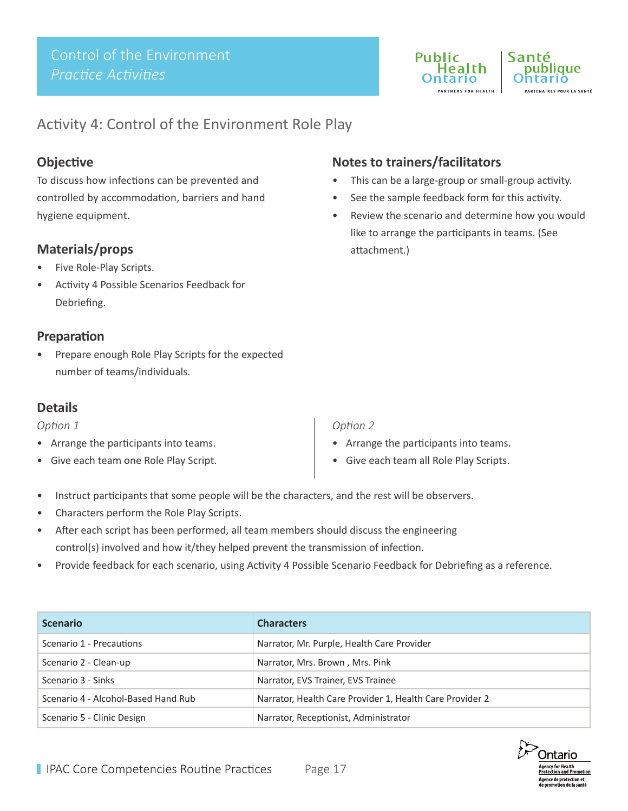

## Activity 4: Control of the Environment Role Play

#### **Objective**

To discuss how infections can be prevented and controlled by accommodation, barriers and hand hygiene equipment.

## **Materials/props**

- Five Role-Play Scripts.
- Activity 4 Possible Scenarios Feedback for Debriefing.

#### **Preparation**

Prepare enough Role Play Scripts for the expected number of teams/individuals.

#### **Details**

#### *Option 1*

- Arrange the participants into teams.
- Give each team one Role Play Script.

## **Notes to trainers/facilitators**

- This can be a large-group or small-group activity.
- See the sample feedback form for this activity.
- Review the scenario and determine how you would like to arrange the participants in teams. (See attachment.)

#### *Option 2*

- Arrange the participants into teams.
- Give each team all Role Play Scripts.
- Instruct participants that some people will be the characters, and the rest will be observers.
- Characters perform the Role Play Scripts.
- After each script has been performed, all team members should discuss the engineering control(s) involved and how it/they helped prevent the transmission of infection.
- Provide feedback for each scenario, using Activity 4 Possible Scenario Feedback for Debriefing as a reference.

| <b>Scenario</b>                     | <b>Characters</b>                                        |
|-------------------------------------|----------------------------------------------------------|
| Scenario 1 - Precautions            | Narrator, Mr. Purple, Health Care Provider               |
| Scenario 2 - Clean-up               | Narrator, Mrs. Brown, Mrs. Pink                          |
| Scenario 3 - Sinks                  | Narrator, EVS Trainer, EVS Trainee                       |
| Scenario 4 - Alcohol-Based Hand Rub | Narrator, Health Care Provider 1, Health Care Provider 2 |
| Scenario 5 - Clinic Design          | Narrator, Receptionist, Administrator                    |

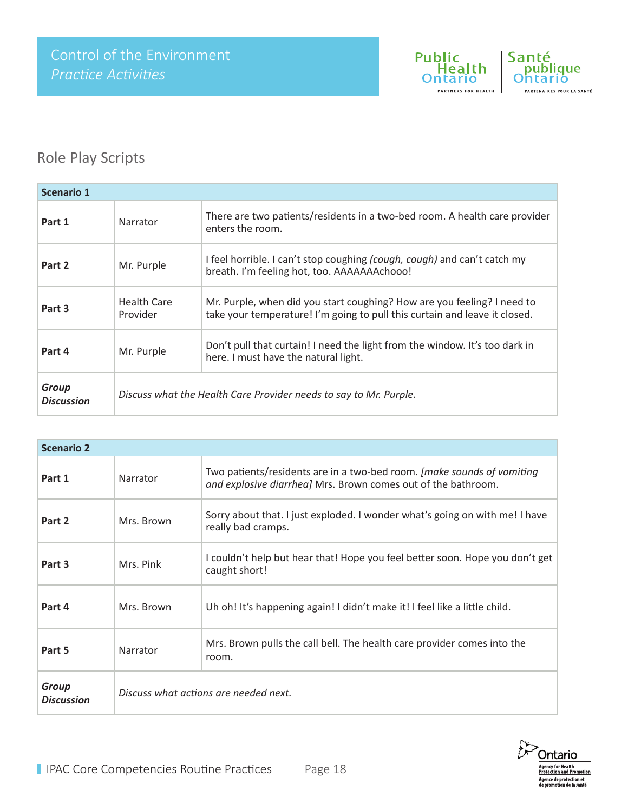

# Role Play Scripts

| <b>Scenario 1</b>                 |                                                                   |                                                                                                                                                       |
|-----------------------------------|-------------------------------------------------------------------|-------------------------------------------------------------------------------------------------------------------------------------------------------|
| Part 1                            | Narrator                                                          | There are two patients/residents in a two-bed room. A health care provider<br>enters the room.                                                        |
| Part 2                            | Mr. Purple                                                        | I feel horrible. I can't stop coughing (cough, cough) and can't catch my<br>breath. I'm feeling hot, too. AAAAAAAchooo!                               |
| Part 3                            | <b>Health Care</b><br>Provider                                    | Mr. Purple, when did you start coughing? How are you feeling? I need to<br>take your temperature! I'm going to pull this curtain and leave it closed. |
| Part 4                            | Mr. Purple                                                        | Don't pull that curtain! I need the light from the window. It's too dark in<br>here. I must have the natural light.                                   |
| <b>Group</b><br><b>Discussion</b> | Discuss what the Health Care Provider needs to say to Mr. Purple. |                                                                                                                                                       |

| <b>Scenario 2</b>          |                                       |                                                                                                                                          |  |
|----------------------------|---------------------------------------|------------------------------------------------------------------------------------------------------------------------------------------|--|
| Part 1                     | Narrator                              | Two patients/residents are in a two-bed room. [make sounds of vomiting]<br>and explosive diarrhea] Mrs. Brown comes out of the bathroom. |  |
| Part 2                     | Mrs. Brown                            | Sorry about that. I just exploded. I wonder what's going on with me! I have<br>really bad cramps.                                        |  |
| Part 3                     | Mrs. Pink                             | I couldn't help but hear that! Hope you feel better soon. Hope you don't get<br>caught short!                                            |  |
| Part 4                     | Mrs. Brown                            | Uh oh! It's happening again! I didn't make it! I feel like a little child.                                                               |  |
| Part 5                     | Narrator                              | Mrs. Brown pulls the call bell. The health care provider comes into the<br>room.                                                         |  |
| Group<br><b>Discussion</b> | Discuss what actions are needed next. |                                                                                                                                          |  |

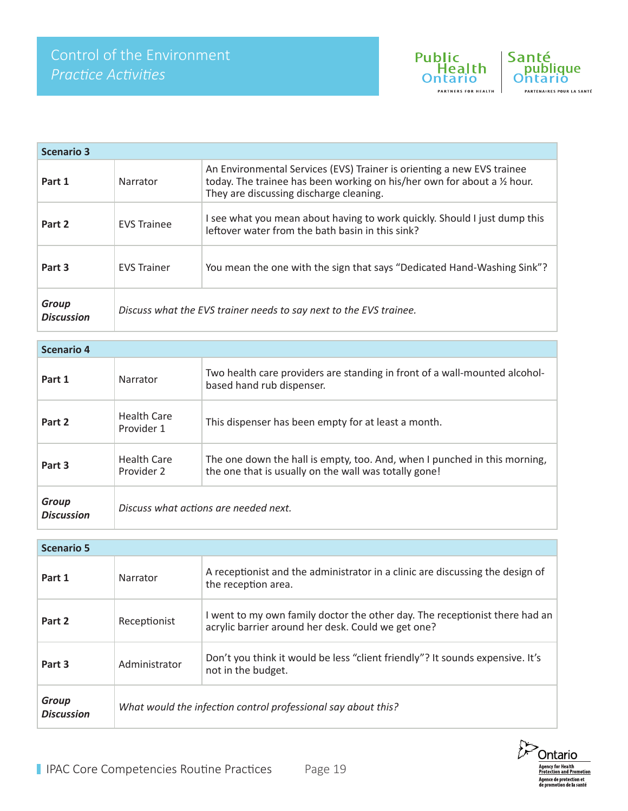



| <b>Scenario 3</b>                 |                                                                    |                                                                                                                                                                                               |
|-----------------------------------|--------------------------------------------------------------------|-----------------------------------------------------------------------------------------------------------------------------------------------------------------------------------------------|
| Part 1                            | Narrator                                                           | An Environmental Services (EVS) Trainer is orienting a new EVS trainee<br>today. The trainee has been working on his/her own for about a 1/2 hour.<br>They are discussing discharge cleaning. |
| Part 2                            | <b>FVS</b> Trainee                                                 | I see what you mean about having to work quickly. Should I just dump this<br>leftover water from the bath basin in this sink?                                                                 |
| Part 3                            | <b>FVS Trainer</b>                                                 | You mean the one with the sign that says "Dedicated Hand-Washing Sink"?                                                                                                                       |
| <b>Group</b><br><b>Discussion</b> | Discuss what the EVS trainer needs to say next to the EVS trainee. |                                                                                                                                                                                               |

| <b>Scenario 4</b>          |                                       |                                                                                                                                    |  |  |
|----------------------------|---------------------------------------|------------------------------------------------------------------------------------------------------------------------------------|--|--|
| Part 1                     | Narrator                              | Two health care providers are standing in front of a wall-mounted alcohol-<br>based hand rub dispenser.                            |  |  |
| Part 2                     | Health Care<br>Provider 1             | This dispenser has been empty for at least a month.                                                                                |  |  |
| Part 3                     | Health Care<br>Provider 2             | The one down the hall is empty, too. And, when I punched in this morning,<br>the one that is usually on the wall was totally gone! |  |  |
| Group<br><b>Discussion</b> | Discuss what actions are needed next. |                                                                                                                                    |  |  |

| <b>Scenario 5</b>          |                                                               |                                                                                                                                   |  |  |
|----------------------------|---------------------------------------------------------------|-----------------------------------------------------------------------------------------------------------------------------------|--|--|
| Part 1                     | Narrator                                                      | A receptionist and the administrator in a clinic are discussing the design of<br>the reception area.                              |  |  |
| Part 2                     | Receptionist                                                  | I went to my own family doctor the other day. The receptionist there had an<br>acrylic barrier around her desk. Could we get one? |  |  |
| Part 3                     | Administrator                                                 | Don't you think it would be less "client friendly"? It sounds expensive. It's<br>not in the budget.                               |  |  |
| Group<br><b>Discussion</b> | What would the infection control professional say about this? |                                                                                                                                   |  |  |

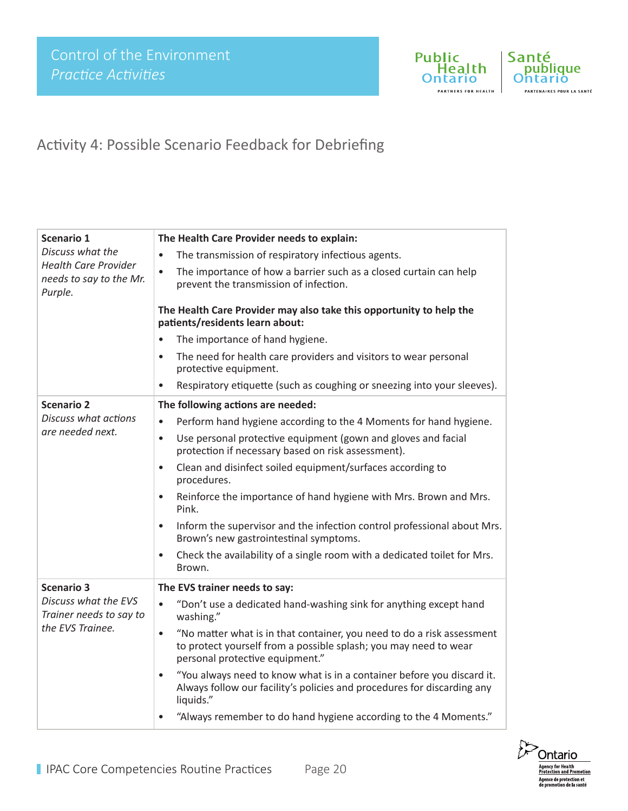

Santé<br>
publique **Ontario** PARTENAIRES POUR LA SANTÉ

# Activity 4: Possible Scenario Feedback for Debriefing

| Scenario 1                                                        | The Health Care Provider needs to explain:                                                                                                                                                 |
|-------------------------------------------------------------------|--------------------------------------------------------------------------------------------------------------------------------------------------------------------------------------------|
| Discuss what the                                                  | The transmission of respiratory infectious agents.<br>$\bullet$                                                                                                                            |
| <b>Health Care Provider</b><br>needs to say to the Mr.<br>Purple. | The importance of how a barrier such as a closed curtain can help<br>$\bullet$<br>prevent the transmission of infection.                                                                   |
|                                                                   | The Health Care Provider may also take this opportunity to help the<br>patients/residents learn about:                                                                                     |
|                                                                   | The importance of hand hygiene.<br>$\bullet$                                                                                                                                               |
|                                                                   | The need for health care providers and visitors to wear personal<br>$\bullet$<br>protective equipment.                                                                                     |
|                                                                   | Respiratory etiquette (such as coughing or sneezing into your sleeves).<br>$\bullet$                                                                                                       |
| <b>Scenario 2</b>                                                 | The following actions are needed:                                                                                                                                                          |
| <b>Discuss what actions</b>                                       | Perform hand hygiene according to the 4 Moments for hand hygiene.<br>$\bullet$                                                                                                             |
| are needed next.                                                  | Use personal protective equipment (gown and gloves and facial<br>$\bullet$<br>protection if necessary based on risk assessment).                                                           |
|                                                                   | Clean and disinfect soiled equipment/surfaces according to<br>$\bullet$<br>procedures.                                                                                                     |
|                                                                   | Reinforce the importance of hand hygiene with Mrs. Brown and Mrs.<br>$\bullet$<br>Pink.                                                                                                    |
|                                                                   | Inform the supervisor and the infection control professional about Mrs.<br>$\bullet$<br>Brown's new gastrointestinal symptoms.                                                             |
|                                                                   | Check the availability of a single room with a dedicated toilet for Mrs.<br>$\bullet$<br>Brown.                                                                                            |
| <b>Scenario 3</b>                                                 | The EVS trainer needs to say:                                                                                                                                                              |
| Discuss what the EVS<br>Trainer needs to say to                   | "Don't use a dedicated hand-washing sink for anything except hand<br>$\bullet$<br>washing."                                                                                                |
| the EVS Trainee.                                                  | "No matter what is in that container, you need to do a risk assessment<br>$\bullet$<br>to protect yourself from a possible splash; you may need to wear<br>personal protective equipment." |
|                                                                   | "You always need to know what is in a container before you discard it.<br>$\bullet$<br>Always follow our facility's policies and procedures for discarding any<br>liquids."                |
|                                                                   | "Always remember to do hand hygiene according to the 4 Moments."                                                                                                                           |